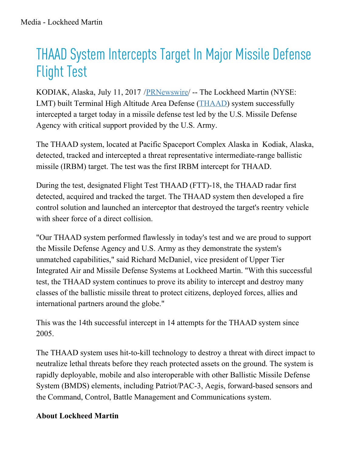## THAAD System Intercepts Target In Major Missile Defense Flight Test

KODIAK, Alaska, July 11, 2017 /[PRNewswire](http://www.prnewswire.com/)/ -- The Lockheed Martin (NYSE: LMT) built Terminal High Altitude Area Defense [\(THAAD](http://lockheedmartin.com/us/products/thaad.html)) system successfully intercepted a target today in a missile defense test led by the U.S. Missile Defense Agency with critical support provided by the U.S. Army.

The THAAD system, located at Pacific Spaceport Complex Alaska in Kodiak, Alaska, detected, tracked and intercepted a threat representative intermediate-range ballistic missile (IRBM) target. The test was the first IRBM intercept for THAAD.

During the test, designated Flight Test THAAD (FTT)-18, the THAAD radar first detected, acquired and tracked the target. The THAAD system then developed a fire control solution and launched an interceptor that destroyed the target's reentry vehicle with sheer force of a direct collision.

"Our THAAD system performed flawlessly in today's test and we are proud to support the Missile Defense Agency and U.S. Army as they demonstrate the system's unmatched capabilities," said Richard McDaniel, vice president of Upper Tier Integrated Air and Missile Defense Systems at Lockheed Martin. "With this successful test, the THAAD system continues to prove its ability to intercept and destroy many classes of the ballistic missile threat to protect citizens, deployed forces, allies and international partners around the globe."

This was the 14th successful intercept in 14 attempts for the THAAD system since 2005.

The THAAD system uses hit-to-kill technology to destroy a threat with direct impact to neutralize lethal threats before they reach protected assets on the ground. The system is rapidly deployable, mobile and also interoperable with other Ballistic Missile Defense System (BMDS) elements, including Patriot/PAC-3, Aegis, forward-based sensors and the Command, Control, Battle Management and Communications system.

## **About Lockheed Martin**